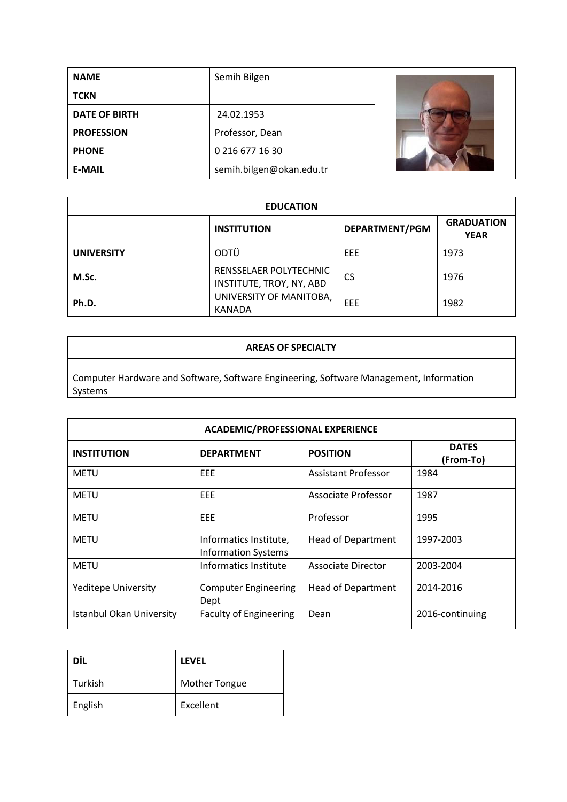| <b>NAME</b>          | Semih Bilgen             |  |
|----------------------|--------------------------|--|
| <b>TCKN</b>          |                          |  |
| <b>DATE OF BIRTH</b> | 24.02.1953               |  |
| <b>PROFESSION</b>    | Professor, Dean          |  |
| <b>PHONE</b>         | 0 216 677 16 30          |  |
| <b>E-MAIL</b>        | semih.bilgen@okan.edu.tr |  |

| <b>EDUCATION</b>  |                                                    |                |                                  |
|-------------------|----------------------------------------------------|----------------|----------------------------------|
|                   | <b>INSTITUTION</b>                                 | DEPARTMENT/PGM | <b>GRADUATION</b><br><b>YEAR</b> |
| <b>UNIVERSITY</b> | ODTÜ                                               | EEE            | 1973                             |
| M.Sc.             | RENSSELAER POLYTECHNIC<br>INSTITUTE, TROY, NY, ABD | CS             | 1976                             |
| Ph.D.             | UNIVERSITY OF MANITOBA,<br><b>KANADA</b>           | EEE            | 1982                             |

### **AREAS OF SPECIALTY**

Computer Hardware and Software, Software Engineering, Software Management, Information Systems

| <b>ACADEMIC/PROFESSIONAL EXPERIENCE</b> |                                                      |                           |                           |
|-----------------------------------------|------------------------------------------------------|---------------------------|---------------------------|
| <b>INSTITUTION</b>                      | <b>DEPARTMENT</b>                                    | <b>POSITION</b>           | <b>DATES</b><br>(From-To) |
| <b>METU</b>                             | EEE.                                                 | Assistant Professor       | 1984                      |
| METU                                    | <b>EEE</b>                                           | Associate Professor       | 1987                      |
| <b>METU</b>                             | <b>EEE</b>                                           | Professor                 | 1995                      |
| <b>METU</b>                             | Informatics Institute,<br><b>Information Systems</b> | <b>Head of Department</b> | 1997-2003                 |
| <b>METU</b>                             | Informatics Institute                                | Associate Director        | 2003-2004                 |
| <b>Yeditepe University</b>              | <b>Computer Engineering</b><br>Dept                  | <b>Head of Department</b> | 2014-2016                 |
| <b>Istanbul Okan University</b>         | <b>Faculty of Engineering</b>                        | Dean                      | 2016-continuing           |

| DİL     | <b>LEVEL</b>         |
|---------|----------------------|
| Turkish | <b>Mother Tongue</b> |
| English | Excellent            |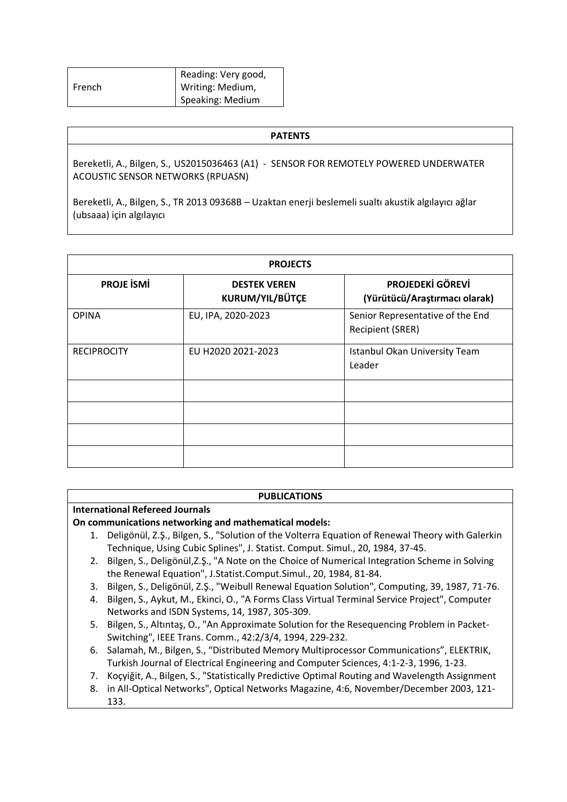|               | Reading: Very good, |
|---------------|---------------------|
| <b>French</b> | Writing: Medium,    |
|               | Speaking: Medium    |

#### **PATENTS**

Bereketli, A., Bilgen, S., US2015036463 (A1) - SENSOR FOR REMOTELY POWERED UNDERWATER **ACOUSTIC SENSOR NETWORKS (RPUASN)** 

Bereketli, A., Bilgen, S., TR 2013 09368B - Uzaktan enerji beslemeli sualtı akustik algılayıcı ağlar (ubsaaa) için algılayıcı

| <b>PROJECTS</b>    |                                        |                                                             |
|--------------------|----------------------------------------|-------------------------------------------------------------|
| <b>PROJE ISMI</b>  | <b>DESTEK VEREN</b><br>KURUM/YIL/BÜTÇE | PROJEDEKİ GÖREVİ<br>(Yürütücü/Araştırmacı olarak)           |
| <b>OPINA</b>       | EU, IPA, 2020-2023                     | Senior Representative of the End<br><b>Recipient (SRER)</b> |
| <b>RECIPROCITY</b> | EU H2020 2021-2023                     | Istanbul Okan University Team<br>Leader                     |
|                    |                                        |                                                             |
|                    |                                        |                                                             |
|                    |                                        |                                                             |
|                    |                                        |                                                             |

#### **PUBLICATIONS**

#### **International Refereed Journals**

#### On communications networking and mathematical models:

- 1. Deligönül, Z.Ş., Bilgen, S., "Solution of the Volterra Equation of Renewal Theory with Galerkin Technique, Using Cubic Splines", J. Statist, Comput, Simul., 20, 1984, 37-45.
- 2. Bilgen, S., Deligönül, Z.Ş., "A Note on the Choice of Numerical Integration Scheme in Solving the Renewal Equation", J.Statist.Comput.Simul., 20, 1984, 81-84.
- 3. Bilgen, S., Deligönül, Z.Ş., "Weibull Renewal Equation Solution", Computing, 39, 1987, 71-76.
- 4. Bilgen, S., Aykut, M., Ekinci, O., "A Forms Class Virtual Terminal Service Project", Computer Networks and ISDN Systems, 14, 1987, 305-309.
- 5. Bilgen, S., Altıntaş, O., "An Approximate Solution for the Resequencing Problem in Packet-Switching", IEEE Trans. Comm., 42:2/3/4, 1994, 229-232.
- 6. Salamah, M., Bilgen, S., "Distributed Memory Multiprocessor Communications", ELEKTRIK, Turkish Journal of Electrical Engineering and Computer Sciences, 4:1-2-3, 1996, 1-23.
- 7. Kocyiğit, A., Bilgen, S., "Statistically Predictive Optimal Routing and Wavelength Assignment
- 8. in All-Optical Networks", Optical Networks Magazine, 4:6, November/December 2003, 121-133.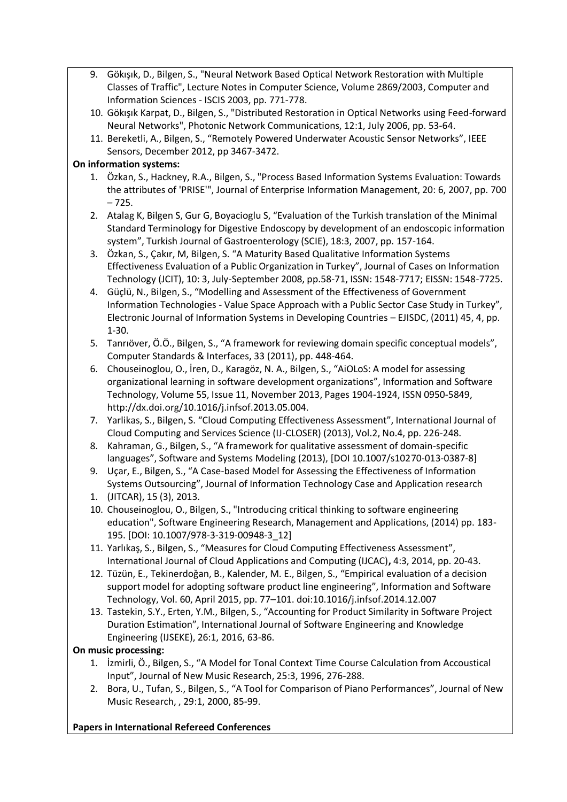- 9. Gökişik, D., Bilgen, S., "Neural Network Based Optical Network Restoration with Multiple Classes of Traffic", Lecture Notes in Computer Science, Volume 2869/2003, Computer and Information Sciences - ISCIS 2003, pp. 771-778.
- 10. Gökişik Karpat, D., Bilgen, S., "Distributed Restoration in Optical Networks using Feed-forward Neural Networks", Photonic Network Communications, 12:1, July 2006, pp. 53-64.
- 11. Bereketli, A., Bilgen, S., "Remotely Powered Underwater Acoustic Sensor Networks", IEEE Sensors, December 2012, pp 3467-3472.

# On information systems:

- 1. Özkan, S., Hackney, R.A., Bilgen, S., "Process Based Information Systems Evaluation: Towards the attributes of 'PRISE'", Journal of Enterprise Information Management, 20: 6, 2007, pp. 700  $-725.$
- 2. Atalag K, Bilgen S, Gur G, Boyacioglu S, "Evaluation of the Turkish translation of the Minimal Standard Terminology for Digestive Endoscopy by development of an endoscopic information system", Turkish Journal of Gastroenterology (SCIE), 18:3, 2007, pp. 157-164.
- 3. Özkan, S., Çakır, M, Bilgen, S. "A Maturity Based Qualitative Information Systems Effectiveness Evaluation of a Public Organization in Turkey", Journal of Cases on Information Technology (JCIT), 10: 3, July-September 2008, pp.58-71, ISSN: 1548-7717; EISSN: 1548-7725.
- 4. Güçlü, N., Bilgen, S., "Modelling and Assessment of the Effectiveness of Government Information Technologies - Value Space Approach with a Public Sector Case Study in Turkey", Electronic Journal of Information Systems in Developing Countries - EJISDC, (2011) 45, 4, pp.  $1 - 30.$
- 5. Tanriöver, Ö.Ö., Bilgen, S., "A framework for reviewing domain specific conceptual models", Computer Standards & Interfaces, 33 (2011), pp. 448-464.
- 6. Chouseinoglou, O., İren, D., Karagöz, N. A., Bilgen, S., "AiOLoS: A model for assessing organizational learning in software development organizations". Information and Software Technology, Volume 55, Issue 11, November 2013, Pages 1904-1924, ISSN 0950-5849, http://dx.doi.org/10.1016/j.infsof.2013.05.004.
- 7. Yarlikas, S., Bilgen, S. "Cloud Computing Effectiveness Assessment", International Journal of Cloud Computing and Services Science (IJ-CLOSER) (2013), Vol.2, No.4, pp. 226-248.
- 8. Kahraman, G., Bilgen, S., "A framework for qualitative assessment of domain-specific languages", Software and Systems Modeling (2013), [DOI 10.1007/s10270-013-0387-8]
- 9. Uçar, E., Bilgen, S., "A Case-based Model for Assessing the Effectiveness of Information Systems Outsourcing", Journal of Information Technology Case and Application research
- 1. (JITCAR), 15 (3), 2013.
- 10. Chouseinoglou, O., Bilgen, S., "Introducing critical thinking to software engineering education", Software Engineering Research, Management and Applications, (2014) pp. 183-195. [DOI: 10.1007/978-3-319-00948-3\_12]
- 11. Yarlıkaş, S., Bilgen, S., "Measures for Cloud Computing Effectiveness Assessment", International Journal of Cloud Applications and Computing (IJCAC), 4:3, 2014, pp. 20-43.
- 12. Tüzün, E., Tekinerdoğan, B., Kalender, M. E., Bilgen, S., "Empirical evaluation of a decision support model for adopting software product line engineering", Information and Software Technology, Vol. 60, April 2015, pp. 77-101. doi:10.1016/j.infsof.2014.12.007
- 13. Tastekin, S.Y., Erten, Y.M., Bilgen, S., "Accounting for Product Similarity in Software Project Duration Estimation", International Journal of Software Engineering and Knowledge Engineering (IJSEKE), 26:1, 2016, 63-86.

# On music processing:

- 1. İzmirli, Ö., Bilgen, S., "A Model for Tonal Context Time Course Calculation from Accoustical Input". Journal of New Music Research, 25:3, 1996, 276-288.
- 2. Bora, U., Tufan, S., Bilgen, S., "A Tool for Comparison of Piano Performances", Journal of New Music Research, , 29:1, 2000, 85-99.

# **Papers in International Refereed Conferences**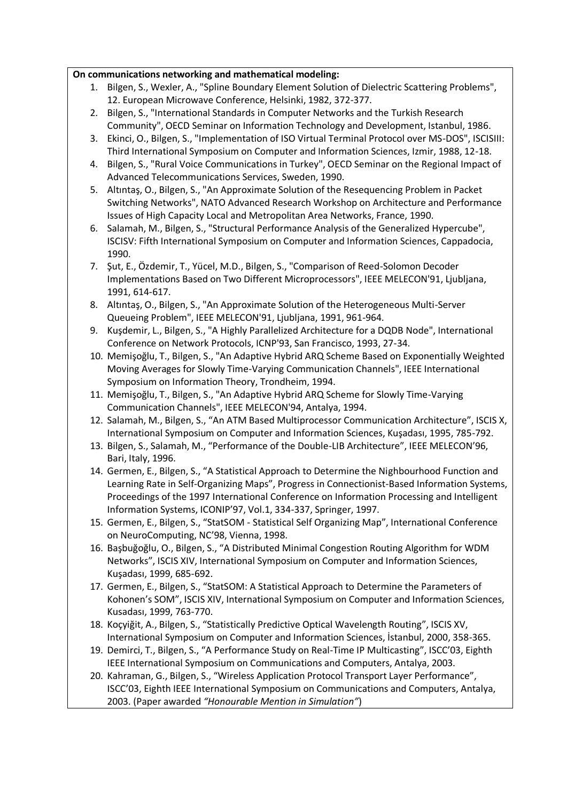### On communications networking and mathematical modeling:

- 1. Bilgen, S., Wexler, A., "Spline Boundary Element Solution of Dielectric Scattering Problems", 12. European Microwave Conference, Helsinki, 1982, 372-377.
- 2. Bilgen, S., "International Standards in Computer Networks and the Turkish Research Community", OECD Seminar on Information Technology and Development, Istanbul, 1986.
- 3. Ekinci, O., Bilgen, S., "Implementation of ISO Virtual Terminal Protocol over MS-DOS", ISCISIII: Third International Symposium on Computer and Information Sciences, Izmir, 1988, 12-18.
- 4. Bilgen, S., "Rural Voice Communications in Turkey", OECD Seminar on the Regional Impact of Advanced Telecommunications Services, Sweden, 1990.
- 5. Altıntaş, O., Bilgen, S., "An Approximate Solution of the Resequencing Problem in Packet Switching Networks", NATO Advanced Research Workshop on Architecture and Performance Issues of High Capacity Local and Metropolitan Area Networks, France, 1990.
- 6. Salamah, M., Bilgen, S., "Structural Performance Analysis of the Generalized Hypercube", ISCISV: Fifth International Symposium on Computer and Information Sciences, Cappadocia, 1990.
- 7. Sut, E., Özdemir, T., Yücel, M.D., Bilgen, S., "Comparison of Reed-Solomon Decoder Implementations Based on Two Different Microprocessors", IEEE MELECON'91, Ljubljana, 1991, 614-617.
- 8. Altıntaş, O., Bilgen, S., "An Approximate Solution of the Heterogeneous Multi-Server Queueing Problem", IEEE MELECON'91, Ljubljana, 1991, 961-964.
- 9. Kuşdemir, L., Bilgen, S., "A Highly Parallelized Architecture for a DQDB Node", International Conference on Network Protocols, ICNP'93, San Francisco, 1993, 27-34.
- 10. Memișoğlu, T., Bilgen, S., "An Adaptive Hybrid ARQ Scheme Based on Exponentially Weighted Moving Averages for Slowly Time-Varying Communication Channels", IEEE International Symposium on Information Theory, Trondheim, 1994.
- 11. Memişoğlu, T., Bilgen, S., "An Adaptive Hybrid ARQ Scheme for Slowly Time-Varying Communication Channels", IEEE MELECON'94, Antalya, 1994.
- 12. Salamah, M., Bilgen, S., "An ATM Based Multiprocessor Communication Architecture", ISCIS X, International Symposium on Computer and Information Sciences, Kusadası, 1995, 785-792.
- 13. Bilgen, S., Salamah, M., "Performance of the Double-LIB Architecture", IEEE MELECON'96, Bari, Italy, 1996.
- 14. Germen, E., Bilgen, S., "A Statistical Approach to Determine the Nighbourhood Function and Learning Rate in Self-Organizing Maps", Progress in Connectionist-Based Information Systems, Proceedings of the 1997 International Conference on Information Processing and Intelligent Information Systems, ICONIP'97, Vol.1, 334-337, Springer, 1997.
- 15. Germen, E., Bilgen, S., "StatSOM Statistical Self Organizing Map", International Conference on NeuroComputing, NC'98, Vienna, 1998.
- 16. Basbuğoğlu, O., Bilgen, S., "A Distributed Minimal Congestion Routing Algorithm for WDM Networks", ISCIS XIV, International Symposium on Computer and Information Sciences, Kuşadası, 1999, 685-692.
- 17. Germen, E., Bilgen, S., "StatSOM: A Statistical Approach to Determine the Parameters of Kohonen's SOM", ISCIS XIV, International Symposium on Computer and Information Sciences, Kusadası, 1999, 763-770.
- 18. Koçyiğit, A., Bilgen, S., "Statistically Predictive Optical Wavelength Routing", ISCIS XV, International Symposium on Computer and Information Sciences, İstanbul, 2000, 358-365.
- 19. Demirci, T., Bilgen, S., "A Performance Study on Real-Time IP Multicasting", ISCC'03, Eighth IEEE International Symposium on Communications and Computers, Antalya, 2003.
- 20. Kahraman, G., Bilgen, S., "Wireless Application Protocol Transport Layer Performance", ISCC'03, Eighth IEEE International Symposium on Communications and Computers, Antalya, 2003. (Paper awarded "Honourable Mention in Simulation")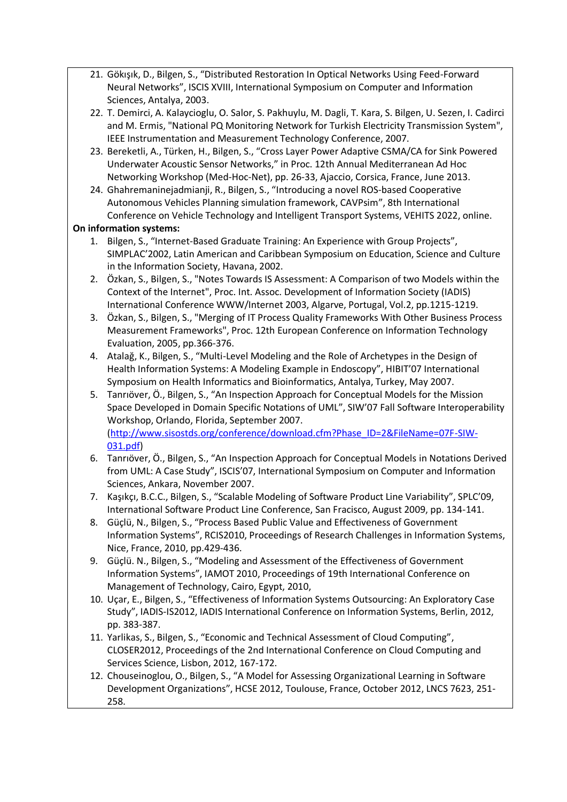- 21. Gökişik, D., Bilgen, S., "Distributed Restoration In Optical Networks Using Feed-Forward Neural Networks", ISCIS XVIII, International Symposium on Computer and Information Sciences, Antalya, 2003.
- 22. T. Demirci, A. Kalaycioglu, O. Salor, S. Pakhuylu, M. Dagli, T. Kara, S. Bilgen, U. Sezen, I. Cadirci and M. Ermis, "National PQ Monitoring Network for Turkish Electricity Transmission System", IEEE Instrumentation and Measurement Technology Conference, 2007.
- 23. Bereketli, A., Türken, H., Bilgen, S., "Cross Layer Power Adaptive CSMA/CA for Sink Powered Underwater Acoustic Sensor Networks," in Proc. 12th Annual Mediterranean Ad Hoc Networking Workshop (Med-Hoc-Net), pp. 26-33, Ajaccio, Corsica, France, June 2013.
- 24. Ghahremaninejadmianji, R., Bilgen, S., "Introducing a novel ROS-based Cooperative Autonomous Vehicles Planning simulation framework, CAVPsim", 8th International Conference on Vehicle Technology and Intelligent Transport Systems, VEHITS 2022, online.

# **On information systems:**

- 1. Bilgen, S., "Internet-Based Graduate Training: An Experience with Group Projects", SIMPLAC'2002, Latin American and Caribbean Symposium on Education, Science and Culture in the Information Society, Havana, 2002.
- 2. Özkan, S., Bilgen, S., "Notes Towards IS Assessment: A Comparison of two Models within the Context of the Internet", Proc. Int. Assoc. Development of Information Society (IADIS) International Conference WWW/Internet 2003, Algarve, Portugal, Vol.2, pp.1215-1219.
- 3. Özkan, S., Bilgen, S., "Merging of IT Process Quality Frameworks With Other Business Process Measurement Frameworks", Proc. 12th European Conference on Information Technology Evaluation, 2005, pp.366-376.
- 4. Atalağ, K., Bilgen, S., "Multi-Level Modeling and the Role of Archetypes in the Design of Health Information Systems: A Modeling Example in Endoscopy", HIBIT'07 International Symposium on Health Informatics and Bioinformatics, Antalya, Turkey, May 2007.
- 5. Tanriöver, Ö., Bilgen, S., "An Inspection Approach for Conceptual Models for the Mission Space Developed in Domain Specific Notations of UML", SIW'07 Fall Software Interoperability Workshop, Orlando, Florida, September 2007. (http://www.sisostds.org/conference/download.cfm?Phase ID=2&FileName=07F-SIW-031.pdf)
- 6. Tanriöver, Ö., Bilgen, S., "An Inspection Approach for Conceptual Models in Notations Derived from UML: A Case Study", ISCIS'07, International Symposium on Computer and Information Sciences, Ankara, November 2007.
- 7. Kaşıkçı, B.C.C., Bilgen, S., "Scalable Modeling of Software Product Line Variability", SPLC'09, International Software Product Line Conference, San Fracisco, August 2009, pp. 134-141.
- 8. Güçlü, N., Bilgen, S., "Process Based Public Value and Effectiveness of Government Information Systems", RCIS2010, Proceedings of Research Challenges in Information Systems, Nice, France, 2010, pp.429-436.
- 9. Güçlü. N., Bilgen, S., "Modeling and Assessment of the Effectiveness of Government Information Systems", IAMOT 2010, Proceedings of 19th International Conference on Management of Technology, Cairo, Egypt, 2010,
- 10. Uçar, E., Bilgen, S., "Effectiveness of Information Systems Outsourcing: An Exploratory Case Study", IADIS-IS2012, IADIS International Conference on Information Systems, Berlin, 2012, pp. 383-387.
- 11. Yarlikas, S., Bilgen, S., "Economic and Technical Assessment of Cloud Computing", CLOSER2012, Proceedings of the 2nd International Conference on Cloud Computing and Services Science, Lisbon, 2012, 167-172.
- 12. Chouseinoglou, O., Bilgen, S., "A Model for Assessing Organizational Learning in Software Development Organizations", HCSE 2012, Toulouse, France, October 2012, LNCS 7623, 251-258.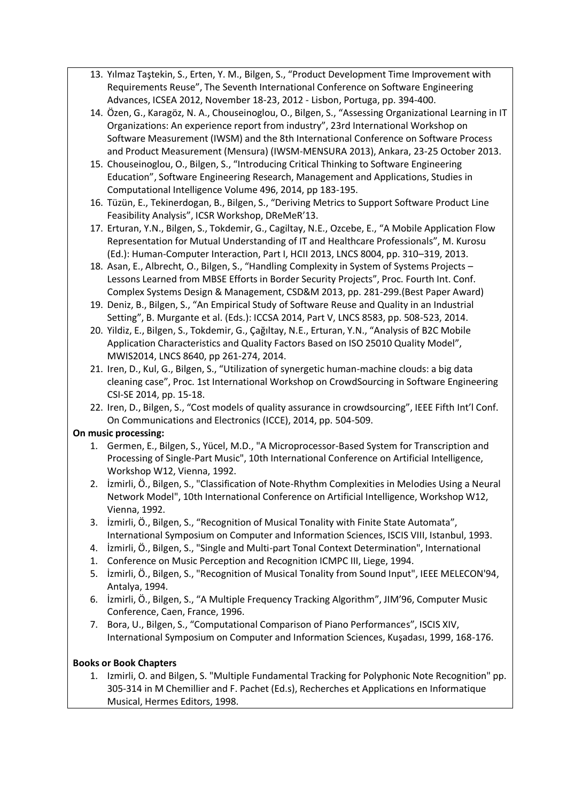- 13. Yılmaz Taştekin, S., Erten, Y. M., Bilgen, S., "Product Development Time Improvement with Requirements Reuse", The Seventh International Conference on Software Engineering Advances, ICSEA 2012, November 18-23, 2012 - Lisbon, Portuga, pp. 394-400.
- 14. Özen, G., Karagöz, N. A., Chouseinoglou, O., Bilgen, S., "Assessing Organizational Learning in IT Organizations: An experience report from industry", 23rd International Workshop on Software Measurement (IWSM) and the 8th International Conference on Software Process and Product Measurement (Mensura) (IWSM-MENSURA 2013), Ankara, 23-25 October 2013.
- 15. Chouseinoglou, O., Bilgen, S., "Introducing Critical Thinking to Software Engineering Education", Software Engineering Research, Management and Applications, Studies in Computational Intelligence Volume 496, 2014, pp 183-195.
- 16. Tüzün, E., Tekinerdogan, B., Bilgen, S., "Deriving Metrics to Support Software Product Line Feasibility Analysis", ICSR Workshop, DReMeR'13.
- 17. Erturan, Y.N., Bilgen, S., Tokdemir, G., Cagiltay, N.E., Ozcebe, E., "A Mobile Application Flow Representation for Mutual Understanding of IT and Healthcare Professionals", M. Kurosu (Ed.): Human-Computer Interaction, Part I, HCII 2013, LNCS 8004, pp. 310-319, 2013.
- 18. Asan, E., Albrecht, O., Bilgen, S., "Handling Complexity in System of Systems Projects -Lessons Learned from MBSE Efforts in Border Security Projects", Proc. Fourth Int. Conf. Complex Systems Design & Management, CSD&M 2013, pp. 281-299.(Best Paper Award)
- 19. Deniz, B., Bilgen, S., "An Empirical Study of Software Reuse and Quality in an Industrial Setting", B. Murgante et al. (Eds.): ICCSA 2014, Part V, LNCS 8583, pp. 508-523, 2014.
- 20. Yildiz, E., Bilgen, S., Tokdemir, G., Çağıltay, N.E., Erturan, Y.N., "Analysis of B2C Mobile Application Characteristics and Quality Factors Based on ISO 25010 Quality Model", MWIS2014, LNCS 8640, pp 261-274, 2014.
- 21. Iren, D., Kul, G., Bilgen, S., "Utilization of synergetic human-machine clouds: a big data cleaning case", Proc. 1st International Workshop on CrowdSourcing in Software Engineering CSI-SE 2014, pp. 15-18.
- 22. Iren, D., Bilgen, S., "Cost models of quality assurance in crowdsourcing", IEEE Fifth Int'l Conf. On Communications and Electronics (ICCE), 2014, pp. 504-509.

### On music processing:

- 1. Germen, E., Bilgen, S., Yücel, M.D., "A Microprocessor-Based System for Transcription and Processing of Single-Part Music", 10th International Conference on Artificial Intelligence, Workshop W12, Vienna, 1992.
- 2. İzmirli, Ö., Bilgen, S., "Classification of Note-Rhythm Complexities in Melodies Using a Neural Network Model", 10th International Conference on Artificial Intelligence, Workshop W12, Vienna, 1992.
- 3. İzmirli, Ö., Bilgen, S., "Recognition of Musical Tonality with Finite State Automata", International Symposium on Computer and Information Sciences, ISCIS VIII, Istanbul, 1993.
- 4. İzmirli, Ö., Bilgen, S., "Single and Multi-part Tonal Context Determination", International
- 1. Conference on Music Perception and Recognition ICMPC III, Liege, 1994.
- 5. Izmirli, Ö., Bilgen, S., "Recognition of Musical Tonality from Sound Input", IEEE MELECON'94, Antalya, 1994.
- 6. Izmirli, Ö., Bilgen, S., "A Multiple Frequency Tracking Algorithm", JIM'96, Computer Music Conference, Caen, France, 1996.
- 7. Bora, U., Bilgen, S., "Computational Comparison of Piano Performances", ISCIS XIV, International Symposium on Computer and Information Sciences, Kuşadası, 1999, 168-176.

### **Books or Book Chapters**

1. Izmirli, O. and Bilgen, S. "Multiple Fundamental Tracking for Polyphonic Note Recognition" pp. 305-314 in M Chemillier and F. Pachet (Ed.s), Recherches et Applications en Informatique Musical, Hermes Editors, 1998.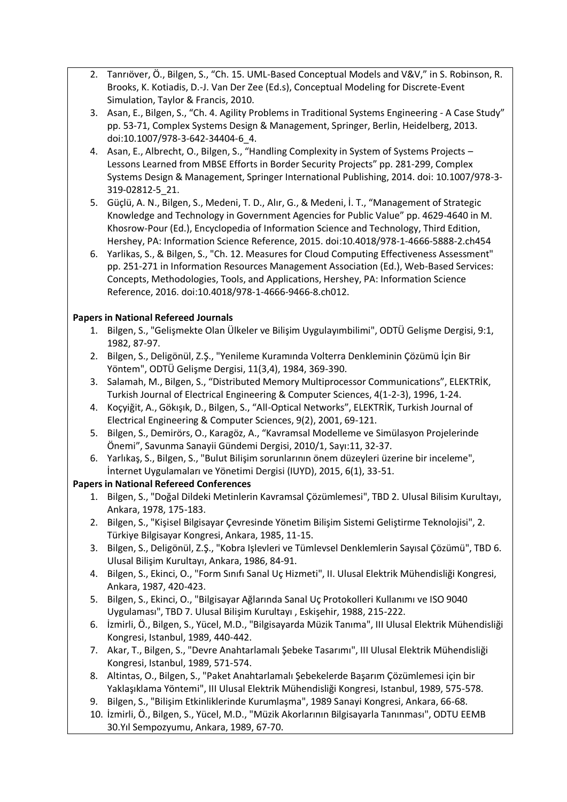- 2. Tanriöver, Ö., Bilgen, S., "Ch. 15. UML-Based Conceptual Models and V&V," in S. Robinson, R. Brooks, K. Kotiadis, D.-J. Van Der Zee (Ed.s), Conceptual Modeling for Discrete-Event Simulation, Taylor & Francis, 2010.
- 3. Asan, E., Bilgen, S., "Ch. 4. Agility Problems in Traditional Systems Engineering A Case Study" pp. 53-71, Complex Systems Design & Management, Springer, Berlin, Heidelberg, 2013. doi:10.1007/978-3-642-34404-6 4.
- 4. Asan, E., Albrecht, O., Bilgen, S., "Handling Complexity in System of Systems Projects -Lessons Learned from MBSE Efforts in Border Security Projects" pp. 281-299, Complex Systems Design & Management, Springer International Publishing, 2014. doi: 10.1007/978-3-319-02812-5 21.
- 5. Güçlü, A. N., Bilgen, S., Medeni, T. D., Alır, G., & Medeni, İ. T., "Management of Strategic Knowledge and Technology in Government Agencies for Public Value" pp. 4629-4640 in M. Khosrow-Pour (Ed.), Encyclopedia of Information Science and Technology, Third Edition, Hershey, PA: Information Science Reference, 2015. doi:10.4018/978-1-4666-5888-2.ch454
- 6. Yarlikas, S., & Bilgen, S., "Ch. 12. Measures for Cloud Computing Effectiveness Assessment" pp. 251-271 in Information Resources Management Association (Ed.), Web-Based Services: Concepts, Methodologies, Tools, and Applications, Hershey, PA: Information Science Reference, 2016. doi:10.4018/978-1-4666-9466-8.ch012.

# **Papers in National Refereed Journals**

- 1. Bilgen, S., "Gelismekte Olan Ülkeler ve Bilisim Uygulayımbilimi", ODTÜ Gelisme Dergisi, 9:1, 1982, 87-97.
- 2. Bilgen, S., Deligönül, Z.Ş., "Yenileme Kuramında Volterra Denkleminin Çözümü İçin Bir Yöntem", ODTÜ Gelişme Dergisi, 11(3,4), 1984, 369-390.
- 3. Salamah, M., Bilgen, S., "Distributed Memory Multiprocessor Communications", ELEKTRİK, Turkish Journal of Electrical Engineering & Computer Sciences, 4(1-2-3), 1996, 1-24.
- 4. Koçyiğit, A., Gökışık, D., Bilgen, S., "All-Optical Networks", ELEKTRİK, Turkish Journal of Electrical Engineering & Computer Sciences, 9(2), 2001, 69-121.
- 5. Bilgen, S., Demirörs, O., Karagöz, A., "Kavramsal Modelleme ve Simülasyon Projelerinde Önemi", Savunma Sanayii Gündemi Dergisi, 2010/1, Sayı:11, 32-37.
- 6. Yarlıkaş, S., Bilgen, S., "Bulut Bilişim sorunlarının önem düzeyleri üzerine bir inceleme", İnternet Uygulamaları ve Yönetimi Dergisi (IUYD), 2015, 6(1), 33-51.

# **Papers in National Refereed Conferences**

- 1. Bilgen, S., "Doğal Dildeki Metinlerin Kavramsal Çözümlemesi", TBD 2. Ulusal Bilisim Kurultayı, Ankara, 1978, 175-183.
- 2. Bilgen, S., "Kişisel Bilgisayar Çevresinde Yönetim Bilişim Sistemi Geliştirme Teknolojisi", 2. Türkiye Bilgisayar Kongresi, Ankara, 1985, 11-15.
- 3. Bilgen, S., Deligönül, Z.Ş., "Kobra Işlevleri ve Tümlevsel Denklemlerin Sayısal Çözümü", TBD 6. Ulusal Bilisim Kurultayı, Ankara, 1986, 84-91.
- 4. Bilgen, S., Ekinci, O., "Form Sınıfı Sanal Uç Hizmeti", II. Ulusal Elektrik Mühendisliği Kongresi, Ankara, 1987, 420-423.
- 5. Bilgen, S., Ekinci, O., "Bilgisayar Ağlarında Sanal Uç Protokolleri Kullanımı ve ISO 9040 Uygulaması", TBD 7. Ulusal Bilişim Kurultayı, Eskişehir, 1988, 215-222.
- 6. İzmirli, Ö., Bilgen, S., Yücel, M.D., "Bilgisayarda Müzik Tanıma", III Ulusal Elektrik Mühendisliği Kongresi, Istanbul, 1989, 440-442.
- 7. Akar, T., Bilgen, S., "Devre Anahtarlamalı Şebeke Tasarımı", III Ulusal Elektrik Mühendisliği Kongresi, Istanbul, 1989, 571-574.
- 8. Altintas, O., Bilgen, S., "Paket Anahtarlamalı Sebekelerde Basarım Cözümlemesi için bir Yaklaşıklama Yöntemi", III Ulusal Elektrik Mühendisliği Kongresi, Istanbul, 1989, 575-578.
- 9. Bilgen, S., "Bilişim Etkinliklerinde Kurumlaşma", 1989 Sanayi Kongresi, Ankara, 66-68.
- 10. İzmirli, Ö., Bilgen, S., Yücel, M.D., "Müzik Akorlarının Bilgisayarla Tanınması", ODTU EEMB 30.Yıl Sempozyumu, Ankara, 1989, 67-70.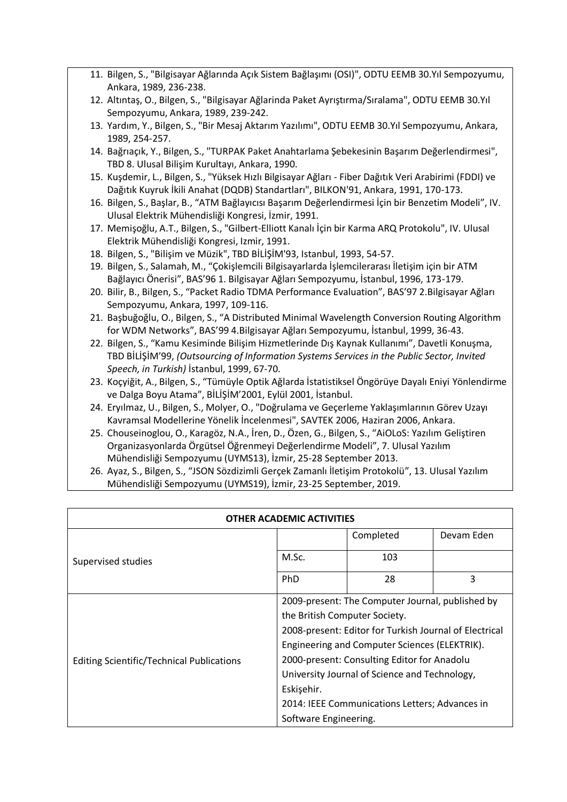- 11. Bilgen, S., "Bilgisayar Ağlarında Açık Sistem Bağlaşımı (OSI)", ODTU EEMB 30.Yıl Sempozyumu, Ankara, 1989, 236-238.
- 12. Altıntaş, O., Bilgen, S., "Bilgisayar Ağlarinda Paket Ayrıştırma/Sıralama", ODTU EEMB 30.Yıl Sempozyumu, Ankara, 1989, 239-242.
- 13. Yardım, Y., Bilgen, S., "Bir Mesaj Aktarım Yazılımı", ODTU EEMB 30.Yıl Sempozyumu, Ankara, 1989, 254-257.
- 14. Bağrıaçık, Y., Bilgen, S., "TURPAK Paket Anahtarlama Şebekesinin Başarım Değerlendirmesi", TBD 8. Ulusal Bilişim Kurultayı, Ankara, 1990.
- 15. Kuşdemir, L., Bilgen, S., "Yüksek Hızlı Bilgisayar Ağları Fiber Dağıtık Veri Arabirimi (FDDI) ve Dağıtık Kuyruk İkili Anahat (DQDB) Standartları", BILKON'91, Ankara, 1991, 170-173.
- 16. Bilgen, S., Başlar, B., "ATM Bağlayıcısı Başarım Değerlendirmesi İçin bir Benzetim Modeli", IV. Ulusal Elektrik Mühendisliği Kongresi, İzmir, 1991.
- 17. Memişoğlu, A.T., Bilgen, S., "Gilbert-Elliott Kanalı İçin bir Karma ARQ Protokolu", IV. Ulusal Elektrik Mühendisliği Kongresi, Izmir, 1991.
- 18. Bilgen, S., "Bilişim ve Müzik", TBD BİLİŞİM'93, Istanbul, 1993, 54-57.
- 19. Bilgen, S., Salamah, M., "Cokislemcili Bilgisayarlarda İslemcilerarası İletisim için bir ATM Bağlayıcı Önerisi", BAS'96 1. Bilgisayar Ağları Sempozyumu, İstanbul, 1996, 173-179.
- 20. Bilir, B., Bilgen, S., "Packet Radio TDMA Performance Evaluation", BAS'97 2.Bilgisayar Ağları Sempozyumu, Ankara, 1997, 109-116.
- 21. Başbuğoğlu, O., Bilgen, S., "A Distributed Minimal Wavelength Conversion Routing Algorithm for WDM Networks", BAS'99 4.Bilgisayar Ağları Sempozyumu, İstanbul, 1999, 36-43.
- 22. Bilgen, S., "Kamu Kesiminde Bilişim Hizmetlerinde Dış Kaynak Kullanımı", Davetli Konuşma, TBD BİLİŞİM'99, (Outsourcing of Information Systems Services in the Public Sector, Invited *Speech, in Turkish*) İstanbul, 1999, 67-70.
- 23. Koçyiğit, A., Bilgen, S., "Tümüyle Optik Ağlarda İstatistiksel Öngörüye Dayalı Eniyi Yönlendirme ve Dalga Boyu Atama", BİLİŞİM'2001, Eylül 2001, İstanbul.
- 24. Eryilmaz, U., Bilgen, S., Molyer, O., "Doğrulama ve Geçerleme Yaklaşımlarının Görev Uzayı Kavramsal Modellerine Yönelik İncelenmesi", SAVTEK 2006, Haziran 2006, Ankara.
- 25. Chouseinoglou, O., Karagöz, N.A., İren, D., Özen, G., Bilgen, S., "AiOLoS: Yazılım Geliştiren Organizasyonlarda Örgütsel Öğrenmeyi Değerlendirme Modeli<sup>n</sup>, 7. Ulusal Yazılım Mühendisliği Sempozyumu (UYMS13), İzmir, 25-28 September 2013.
- 26. Ayaz, S., Bilgen, S., "JSON Sözdizimli Gerçek Zamanlı İletişim Protokolü", 13. Ulusal Yazılım Mühendisliği Sempozyumu (UYMS19), İzmir, 23-25 September, 2019.

| <b>OTHER ACADEMIC ACTIVITIES</b>                 |                                     |                                                                                                                                                                                                                                                                                                                                                |            |
|--------------------------------------------------|-------------------------------------|------------------------------------------------------------------------------------------------------------------------------------------------------------------------------------------------------------------------------------------------------------------------------------------------------------------------------------------------|------------|
|                                                  |                                     | Completed                                                                                                                                                                                                                                                                                                                                      | Devam Eden |
| Supervised studies                               | M.Sc.                               | 103                                                                                                                                                                                                                                                                                                                                            |            |
|                                                  | PhD                                 | 28                                                                                                                                                                                                                                                                                                                                             | 3          |
| <b>Editing Scientific/Technical Publications</b> | Eskişehir.<br>Software Engineering. | 2009-present: The Computer Journal, published by<br>the British Computer Society.<br>2008-present: Editor for Turkish Journal of Electrical<br>Engineering and Computer Sciences (ELEKTRIK).<br>2000-present: Consulting Editor for Anadolu<br>University Journal of Science and Technology,<br>2014: IEEE Communications Letters; Advances in |            |